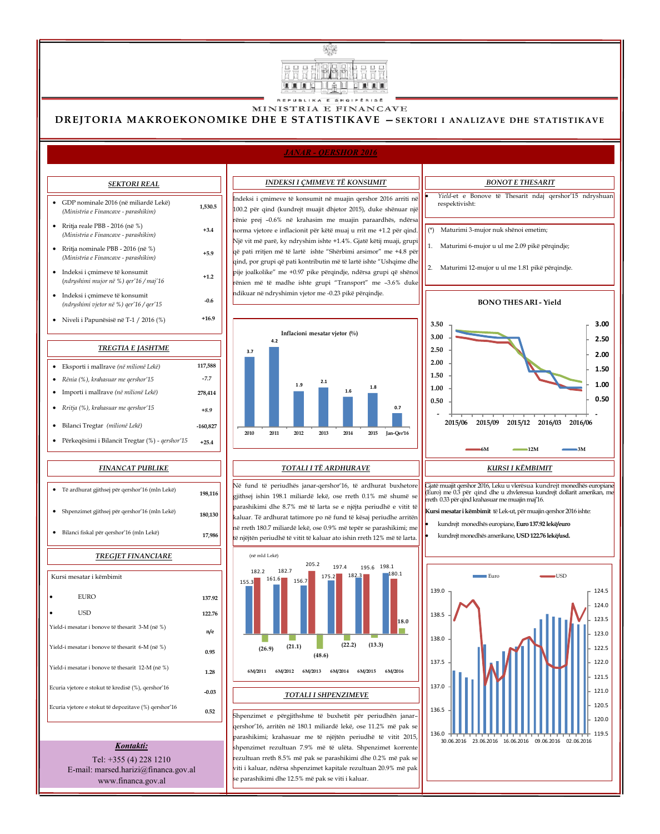

## MINISTRIA E FINANCAVE

## *JANAR - QERSHOR 2016*

| Eksporti i mallrave (në milionë Lekë)           | 117,588    |
|-------------------------------------------------|------------|
| • Rënia $(\%)$ , krahasuar me qershor'15        | $-7.7$     |
| • Importi i mallrave (në milionë Lekë)          | 278,414    |
| • Rritja $(\%)$ , krahasuar me gershor'15       | $+8.9$     |
| Bilanci Tregtar <i>(milionë Lekë)</i>           | $-160,827$ |
| Përkeqësimi i Bilancit Tregtar (%) - qershor'15 | $+25.4$    |

**+3.4**

## GDP nominale 2016 (në miliardë Lekë) *(Ministria e Financave - parashikim)*  **1,530.5** Rritja reale PBB - 2016 (në %) *(Ministria e Financave - parashikim)* Rritja nominale PBB - 2016 (në %) *(Ministria e Financave - parashikim)* Indeksi i çmimeve të konsumit (*ndryshimi mujor në %) qer'16 / maj'16* **+1.2** Indeksi i çmimeve të konsumit *(ndryshimi vjetor në %) qer'16 / qer'15* **-0.6** Niveli i Papunësisë në T-1 / 2016 (%) **+16.9**

**+5.9**

# Yield-i mesatar i bonove të thesarit 3-M (në %)

# Indeksi i çmimeve të konsumit në muajin qershor 2016 arriti në 100.2 për qind (kundrejt muajit dhjetor 2015), duke shënuar një rënie prej –0.6% në krahasim me muajin paraardhës, ndërsa norma vjetore e inflacionit për këtë muaj u rrit me +1.2 për qind. Një vit më parë, ky ndryshim ishte +1.4%. Gjatë këtij muaji, grupi që pati rritjen më të lartë ishte "Shërbimi arsimor" me +4.8 për qind, por grupi që pati kontributin më të lartë ishte "Ushqime dhe pije joalkolike" me +0.97 pike përqindje, ndërsa grupi që shënoi rënien më të madhe ishte grupi "Transport" me –3.6% duke ndikuar në ndryshimin vjetor me -0.23 pikë përqindje.

| Të ardhurat gjithsej për qershor'16 (mln Lekë) | 198,116 |  |  |  |
|------------------------------------------------|---------|--|--|--|
| Shpenzimet gjithsej për qershor'16 (mln Lekë)  | 180,130 |  |  |  |
| Bilanci fiskal për qershor'16 (mln Lekë)       | 17,986  |  |  |  |
| <b>TREGJET FINANCIARE</b>                      |         |  |  |  |
| Kursi mesatar i këmbimit                       |         |  |  |  |

*INDEKSI I ÇMIMEVE TË KONSUMIT*

#### *TOTALI I TË ARDHURAVE*

Në fund të periudhës janar-qershor'16, të ardhurat buxhetore gjithsej ishin 198.1 miliardë lekë, ose rreth 0.1% më shumë se parashikimi dhe 8.7% më të larta se e njëjta periudhë e vitit të kaluar. Të ardhurat tatimore po në fund të kësaj periudhe arritën në rreth 180.7 miliardë lekë, ose 0.9% më tepër se parashikimi; me të njëjtën periudhë të vitit të kaluar ato ishin rreth 12% më të larta.



Gjatë muajit qershor 2016, Leku u vlerësua kundrejt monedhës europiane (Euro) me 0.3 për qind dhe u zhvleresua kundrejt dollarit amerikan, me rreth 0.33 për qind krahasuar me muajin maj'16.

**Kursi mesatar i këmbimit** të Lek-ut, për muajin qershor 2016 ishte:

- kundrejt monedhës europiane, **Euro 137.92 lekë/euro**
- kundrejt monedhës amerikane, **USD 122.76 lekë/usd.**



# *Yield*-et e Bonove të Thesarit ndaj qershor'15 ndryshuan respektivisht: *BONOT E THESARIT*

#### (në mld Lekë)





# **DREJTORIA MAKROEKONOMIKE DHE E STATISTIKAVE —SEKTORI I ANALIZAVE DHE STATISTIKAVE**

#### *SEKTORI REAL*

#### *TREGTIA E JASHTME*

#### *FINANCAT PUBLIKE*

(\*) Maturimi 3-mujor nuk shënoi emetim;

1. Maturimi 6-mujor u ul me 2.09 pikë përqindje;

2. Maturimi 12-mujor u ul me 1.81 pikë përqindje.